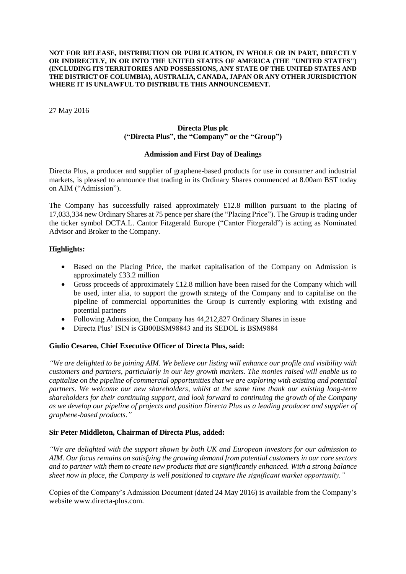#### **NOT FOR RELEASE, DISTRIBUTION OR PUBLICATION, IN WHOLE OR IN PART, DIRECTLY OR INDIRECTLY, IN OR INTO THE UNITED STATES OF AMERICA (THE "UNITED STATES") (INCLUDING ITS TERRITORIES AND POSSESSIONS, ANY STATE OF THE UNITED STATES AND THE DISTRICT OF COLUMBIA), AUSTRALIA, CANADA, JAPAN OR ANY OTHER JURISDICTION WHERE IT IS UNLAWFUL TO DISTRIBUTE THIS ANNOUNCEMENT.**

27 May 2016

## **Directa Plus plc ("Directa Plus", the "Company" or the "Group")**

## **Admission and First Day of Dealings**

Directa Plus, a producer and supplier of graphene-based products for use in consumer and industrial markets, is pleased to announce that trading in its Ordinary Shares commenced at 8.00am BST today on AIM ("Admission").

The Company has successfully raised approximately £12.8 million pursuant to the placing of 17,033,334 new Ordinary Shares at 75 pence per share (the "Placing Price"). The Group is trading under the ticker symbol DCTA.L. Cantor Fitzgerald Europe ("Cantor Fitzgerald") is acting as Nominated Advisor and Broker to the Company.

## **Highlights:**

- Based on the Placing Price, the market capitalisation of the Company on Admission is approximately £33.2 million
- Gross proceeds of approximately £12.8 million have been raised for the Company which will be used, inter alia, to support the growth strategy of the Company and to capitalise on the pipeline of commercial opportunities the Group is currently exploring with existing and potential partners
- Following Admission, the Company has 44,212,827 Ordinary Shares in issue
- Directa Plus' ISIN is GB00BSM98843 and its SEDOL is BSM9884

## **Giulio Cesareo, Chief Executive Officer of Directa Plus, said:**

*"We are delighted to be joining AIM. We believe our listing will enhance our profile and visibility with customers and partners, particularly in our key growth markets. The monies raised will enable us to capitalise on the pipeline of commercial opportunities that we are exploring with existing and potential partners. We welcome our new shareholders, whilst at the same time thank our existing long-term shareholders for their continuing support, and look forward to continuing the growth of the Company as we develop our pipeline of projects and position Directa Plus as a leading producer and supplier of graphene-based products."*

## **Sir Peter Middleton, Chairman of Directa Plus, added:**

*"We are delighted with the support shown by both UK and European investors for our admission to AIM. Our focus remains on satisfying the growing demand from potential customers in our core sectors and to partner with them to create new products that are significantly enhanced. With a strong balance sheet now in place, the Company is well positioned to capture the significant market opportunity."*

Copies of the Company's Admission Document (dated 24 May 2016) is available from the Company's website www.directa-plus.com.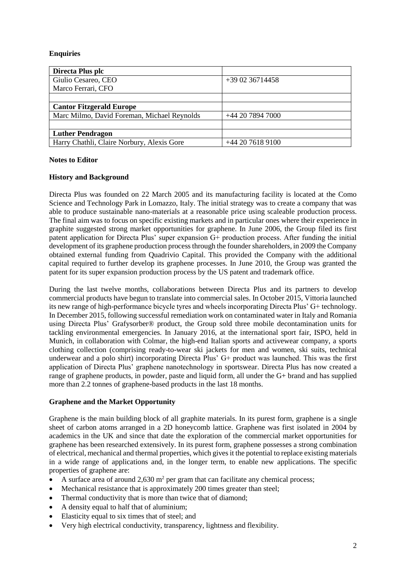# **Enquiries**

| Directa Plus plc                            |                   |
|---------------------------------------------|-------------------|
| Giulio Cesareo, CEO                         | $+39.02.36714458$ |
| Marco Ferrari, CFO                          |                   |
|                                             |                   |
| <b>Cantor Fitzgerald Europe</b>             |                   |
| Marc Milmo, David Foreman, Michael Reynolds | +44 20 7894 7000  |
|                                             |                   |
| <b>Luther Pendragon</b>                     |                   |
| Harry Chathli, Claire Norbury, Alexis Gore  | $+442076189100$   |

# **Notes to Editor**

# **History and Background**

Directa Plus was founded on 22 March 2005 and its manufacturing facility is located at the Como Science and Technology Park in Lomazzo, Italy. The initial strategy was to create a company that was able to produce sustainable nano-materials at a reasonable price using scaleable production process. The final aim was to focus on specific existing markets and in particular ones where their experience in graphite suggested strong market opportunities for graphene. In June 2006, the Group filed its first patent application for Directa Plus' super expansion G+ production process. After funding the initial development of its graphene production process through the founder shareholders, in 2009 the Company obtained external funding from Quadrivio Capital. This provided the Company with the additional capital required to further develop its graphene processes. In June 2010, the Group was granted the patent for its super expansion production process by the US patent and trademark office.

During the last twelve months, collaborations between Directa Plus and its partners to develop commercial products have begun to translate into commercial sales. In October 2015, Vittoria launched its new range of high-performance bicycle tyres and wheels incorporating Directa Plus' G+ technology. In December 2015, following successful remediation work on contaminated water in Italy and Romania using Directa Plus' Grafysorber® product, the Group sold three mobile decontamination units for tackling environmental emergencies. In January 2016, at the international sport fair, ISPO, held in Munich, in collaboration with Colmar, the high-end Italian sports and activewear company, a sports clothing collection (comprising ready-to-wear ski jackets for men and women, ski suits, technical underwear and a polo shirt) incorporating Directa Plus' G+ product was launched. This was the first application of Directa Plus' graphene nanotechnology in sportswear. Directa Plus has now created a range of graphene products, in powder, paste and liquid form, all under the G+ brand and has supplied more than 2.2 tonnes of graphene-based products in the last 18 months.

## **Graphene and the Market Opportunity**

Graphene is the main building block of all graphite materials. In its purest form, graphene is a single sheet of carbon atoms arranged in a 2D honeycomb lattice. Graphene was first isolated in 2004 by academics in the UK and since that date the exploration of the commercial market opportunities for graphene has been researched extensively. In its purest form, graphene possesses a strong combination of electrical, mechanical and thermal properties, which gives it the potential to replace existing materials in a wide range of applications and, in the longer term, to enable new applications. The specific properties of graphene are:

- A surface area of around  $2{,}630$  m<sup>2</sup> per gram that can facilitate any chemical process;
- Mechanical resistance that is approximately 200 times greater than steel;
- Thermal conductivity that is more than twice that of diamond;
- A density equal to half that of aluminium;
- Elasticity equal to six times that of steel; and
- Very high electrical conductivity, transparency, lightness and flexibility.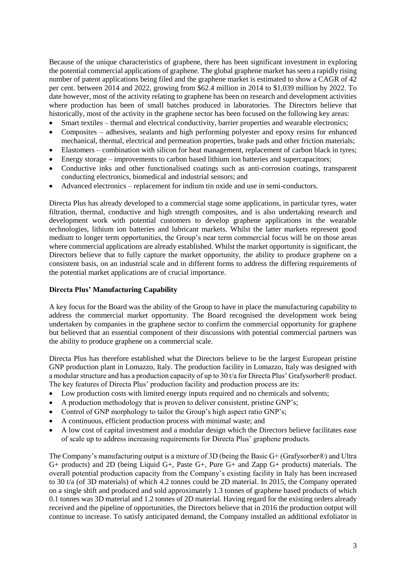Because of the unique characteristics of graphene, there has been significant investment in exploring the potential commercial applications of graphene. The global graphene market has seen a rapidly rising number of patent applications being filed and the graphene market is estimated to show a CAGR of 42 per cent. between 2014 and 2022, growing from \$62.4 million in 2014 to \$1,039 million by 2022. To date however, most of the activity relating to graphene has been on research and development activities where production has been of small batches produced in laboratories. The Directors believe that historically, most of the activity in the graphene sector has been focused on the following key areas:

- Smart textiles thermal and electrical conductivity, barrier properties and wearable electronics;
- Composites adhesives, sealants and high performing polyester and epoxy resins for enhanced mechanical, thermal, electrical and permeation properties, brake pads and other friction materials;
- Elastomers combination with silicon for heat management, replacement of carbon black in tyres;
- Energy storage improvements to carbon based lithium ion batteries and supercapacitors;
- Conductive inks and other functionalised coatings such as anti-corrosion coatings, transparent conducting electronics, biomedical and industrial sensors; and
- Advanced electronics replacement for indium tin oxide and use in semi-conductors.

Directa Plus has already developed to a commercial stage some applications, in particular tyres, water filtration, thermal, conductive and high strength composites, and is also undertaking research and development work with potential customers to develop graphene applications in the wearable technologies, lithium ion batteries and lubricant markets. Whilst the latter markets represent good medium to longer term opportunities, the Group's near term commercial focus will be on those areas where commercial applications are already established. Whilst the market opportunity is significant, the Directors believe that to fully capture the market opportunity, the ability to produce graphene on a consistent basis, on an industrial scale and in different forms to address the differing requirements of the potential market applications are of crucial importance.

## **Directa Plus' Manufacturing Capability**

A key focus for the Board was the ability of the Group to have in place the manufacturing capability to address the commercial market opportunity. The Board recognised the development work being undertaken by companies in the graphene sector to confirm the commercial opportunity for graphene but believed that an essential component of their discussions with potential commercial partners was the ability to produce graphene on a commercial scale.

Directa Plus has therefore established what the Directors believe to be the largest European pristine GNP production plant in Lomazzo, Italy. The production facility in Lomazzo, Italy was designed with a modular structure and has a production capacity of up to 30 t/a for Directa Plus' Grafysorber® product. The key features of Directa Plus' production facility and production process are its:

- Low production costs with limited energy inputs required and no chemicals and solvents;
- A production methodology that is proven to deliver consistent, pristine GNP's;
- Control of GNP morphology to tailor the Group's high aspect ratio GNP's;
- A continuous, efficient production process with minimal waste; and
- A low cost of capital investment and a modular design which the Directors believe facilitates ease of scale up to address increasing requirements for Directa Plus' graphene products.

The Company's manufacturing output is a mixture of 3D (being the Basic G+ (Grafysorber®) and Ultra G+ products) and 2D (being Liquid G+, Paste G+, Pure G+ and Zapp G+ products) materials. The overall potential production capacity from the Company's existing facility in Italy has been increased to 30 t/a (of 3D materials) of which 4.2 tonnes could be 2D material. In 2015, the Company operated on a single shift and produced and sold approximately 1.3 tonnes of graphene based products of which 0.1 tonnes was 3D material and 1.2 tonnes of 2D material. Having regard for the existing orders already received and the pipeline of opportunities, the Directors believe that in 2016 the production output will continue to increase. To satisfy anticipated demand, the Company installed an additional exfoliator in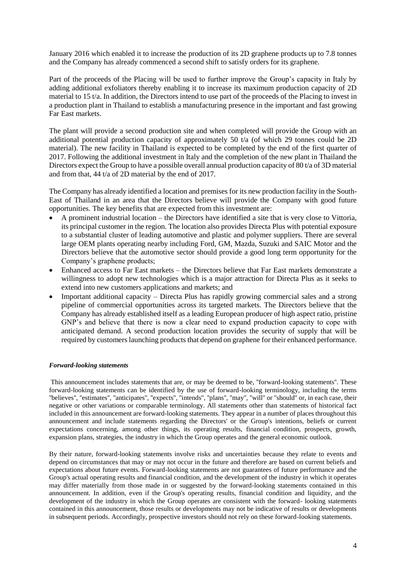January 2016 which enabled it to increase the production of its 2D graphene products up to 7.8 tonnes and the Company has already commenced a second shift to satisfy orders for its graphene.

Part of the proceeds of the Placing will be used to further improve the Group's capacity in Italy by adding additional exfoliators thereby enabling it to increase its maximum production capacity of 2D material to 15 t/a. In addition, the Directors intend to use part of the proceeds of the Placing to invest in a production plant in Thailand to establish a manufacturing presence in the important and fast growing Far East markets.

The plant will provide a second production site and when completed will provide the Group with an additional potential production capacity of approximately 50 t/a (of which 29 tonnes could be 2D material). The new facility in Thailand is expected to be completed by the end of the first quarter of 2017. Following the additional investment in Italy and the completion of the new plant in Thailand the Directors expect the Group to have a possible overall annual production capacity of 80 t/a of 3D material and from that, 44 t/a of 2D material by the end of 2017.

The Company has already identified a location and premises for its new production facility in the South-East of Thailand in an area that the Directors believe will provide the Company with good future opportunities. The key benefits that are expected from this investment are:

- A prominent industrial location the Directors have identified a site that is very close to Vittoria, its principal customer in the region. The location also provides Directa Plus with potential exposure to a substantial cluster of leading automotive and plastic and polymer suppliers. There are several large OEM plants operating nearby including Ford, GM, Mazda, Suzuki and SAIC Motor and the Directors believe that the automotive sector should provide a good long term opportunity for the Company's graphene products;
- Enhanced access to Far East markets the Directors believe that Far East markets demonstrate a willingness to adopt new technologies which is a major attraction for Directa Plus as it seeks to extend into new customers applications and markets; and
- Important additional capacity Directa Plus has rapidly growing commercial sales and a strong pipeline of commercial opportunities across its targeted markets. The Directors believe that the Company has already established itself as a leading European producer of high aspect ratio, pristine GNP's and believe that there is now a clear need to expand production capacity to cope with anticipated demand. A second production location provides the security of supply that will be required by customers launching products that depend on graphene for their enhanced performance.

#### *Forward-looking statements*

This announcement includes statements that are, or may be deemed to be, ''forward-looking statements''. These forward-looking statements can be identified by the use of forward-looking terminology, including the terms ''believes'', ''estimates'', ''anticipates'', ''expects'', ''intends'', ''plans'', ''may'', ''will'' or ''should'' or, in each case, their negative or other variations or comparable terminology. All statements other than statements of historical fact included in this announcement are forward-looking statements. They appear in a number of places throughout this announcement and include statements regarding the Directors' or the Group's intentions, beliefs or current expectations concerning, among other things, its operating results, financial condition, prospects, growth, expansion plans, strategies, the industry in which the Group operates and the general economic outlook.

By their nature, forward-looking statements involve risks and uncertainties because they relate to events and depend on circumstances that may or may not occur in the future and therefore are based on current beliefs and expectations about future events. Forward-looking statements are not guarantees of future performance and the Group's actual operating results and financial condition, and the development of the industry in which it operates may differ materially from those made in or suggested by the forward-looking statements contained in this announcement. In addition, even if the Group's operating results, financial condition and liquidity, and the development of the industry in which the Group operates are consistent with the forward- looking statements contained in this announcement, those results or developments may not be indicative of results or developments in subsequent periods. Accordingly, prospective investors should not rely on these forward-looking statements.